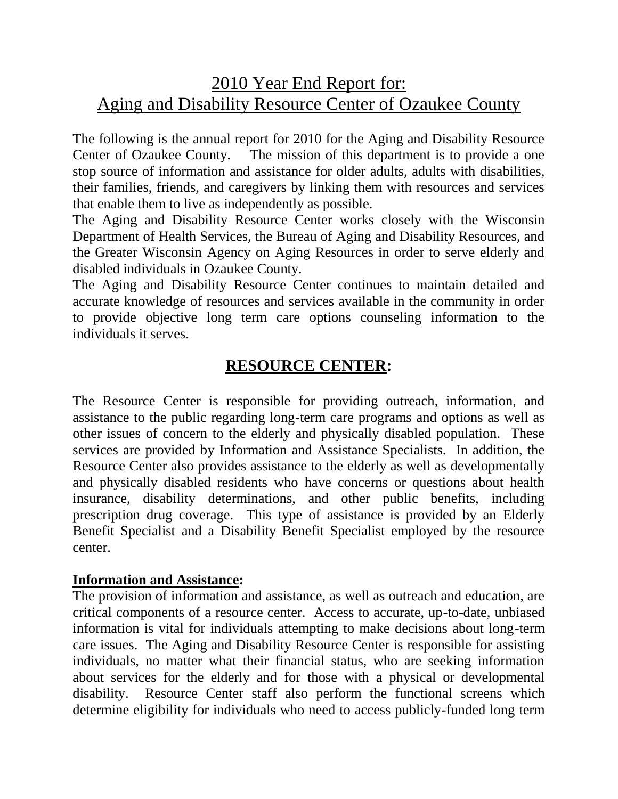# 2010 Year End Report for: Aging and Disability Resource Center of Ozaukee County

The following is the annual report for 2010 for the Aging and Disability Resource Center of Ozaukee County. The mission of this department is to provide a one stop source of information and assistance for older adults, adults with disabilities, their families, friends, and caregivers by linking them with resources and services that enable them to live as independently as possible.

The Aging and Disability Resource Center works closely with the Wisconsin Department of Health Services, the Bureau of Aging and Disability Resources, and the Greater Wisconsin Agency on Aging Resources in order to serve elderly and disabled individuals in Ozaukee County.

The Aging and Disability Resource Center continues to maintain detailed and accurate knowledge of resources and services available in the community in order to provide objective long term care options counseling information to the individuals it serves.

## **RESOURCE CENTER:**

The Resource Center is responsible for providing outreach, information, and assistance to the public regarding long-term care programs and options as well as other issues of concern to the elderly and physically disabled population. These services are provided by Information and Assistance Specialists. In addition, the Resource Center also provides assistance to the elderly as well as developmentally and physically disabled residents who have concerns or questions about health insurance, disability determinations, and other public benefits, including prescription drug coverage. This type of assistance is provided by an Elderly Benefit Specialist and a Disability Benefit Specialist employed by the resource center.

#### **Information and Assistance:**

The provision of information and assistance, as well as outreach and education, are critical components of a resource center. Access to accurate, up-to-date, unbiased information is vital for individuals attempting to make decisions about long-term care issues. The Aging and Disability Resource Center is responsible for assisting individuals, no matter what their financial status, who are seeking information about services for the elderly and for those with a physical or developmental disability. Resource Center staff also perform the functional screens which determine eligibility for individuals who need to access publicly-funded long term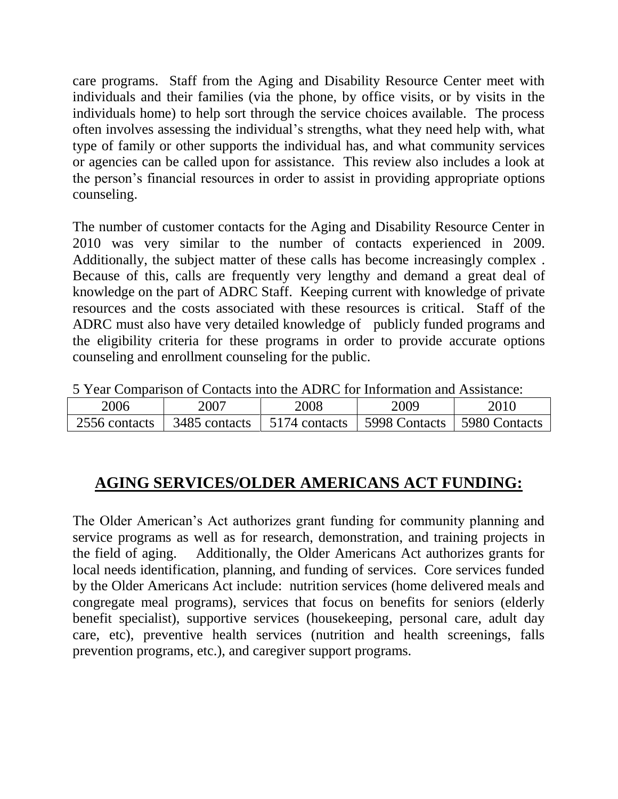care programs. Staff from the Aging and Disability Resource Center meet with individuals and their families (via the phone, by office visits, or by visits in the individuals home) to help sort through the service choices available. The process often involves assessing the individual's strengths, what they need help with, what type of family or other supports the individual has, and what community services or agencies can be called upon for assistance. This review also includes a look at the person's financial resources in order to assist in providing appropriate options counseling.

The number of customer contacts for the Aging and Disability Resource Center in 2010 was very similar to the number of contacts experienced in 2009. Additionally, the subject matter of these calls has become increasingly complex . Because of this, calls are frequently very lengthy and demand a great deal of knowledge on the part of ADRC Staff. Keeping current with knowledge of private resources and the costs associated with these resources is critical. Staff of the ADRC must also have very detailed knowledge of publicly funded programs and the eligibility criteria for these programs in order to provide accurate options counseling and enrollment counseling for the public.

| 2 Teal Companion of Comacts mid the ADINC for implimation and Assistance. |                                                               |      |      |      |
|---------------------------------------------------------------------------|---------------------------------------------------------------|------|------|------|
| 2006                                                                      | 2007                                                          | 2008 | 2009 | 2010 |
| 2556 contacts                                                             | 3485 contacts   5174 contacts   5998 Contacts   5980 Contacts |      |      |      |

5 Year Comparison of Contacts into the ADRC for Information and Assistance:

#### **AGING SERVICES/OLDER AMERICANS ACT FUNDING:**

The Older American's Act authorizes grant funding for community planning and service programs as well as for research, demonstration, and training projects in the field of aging. Additionally, the Older Americans Act authorizes grants for local needs identification, planning, and funding of services. Core services funded by the Older Americans Act include: nutrition services (home delivered meals and congregate meal programs), services that focus on benefits for seniors (elderly benefit specialist), supportive services (housekeeping, personal care, adult day care, etc), preventive health services (nutrition and health screenings, falls prevention programs, etc.), and caregiver support programs.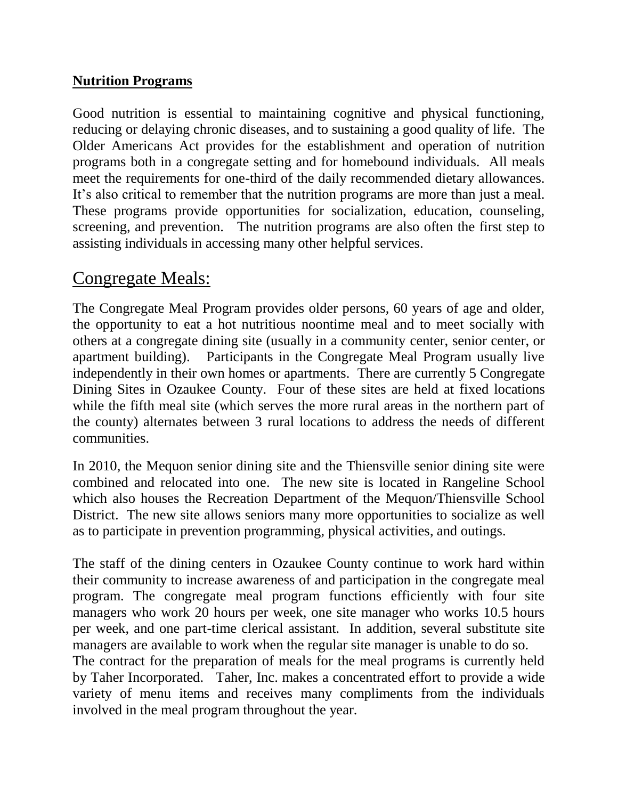#### **Nutrition Programs**

Good nutrition is essential to maintaining cognitive and physical functioning, reducing or delaying chronic diseases, and to sustaining a good quality of life. The Older Americans Act provides for the establishment and operation of nutrition programs both in a congregate setting and for homebound individuals. All meals meet the requirements for one-third of the daily recommended dietary allowances. It's also critical to remember that the nutrition programs are more than just a meal. These programs provide opportunities for socialization, education, counseling, screening, and prevention. The nutrition programs are also often the first step to assisting individuals in accessing many other helpful services.

## Congregate Meals:

The Congregate Meal Program provides older persons, 60 years of age and older, the opportunity to eat a hot nutritious noontime meal and to meet socially with others at a congregate dining site (usually in a community center, senior center, or apartment building). Participants in the Congregate Meal Program usually live independently in their own homes or apartments. There are currently 5 Congregate Dining Sites in Ozaukee County. Four of these sites are held at fixed locations while the fifth meal site (which serves the more rural areas in the northern part of the county) alternates between 3 rural locations to address the needs of different communities.

In 2010, the Mequon senior dining site and the Thiensville senior dining site were combined and relocated into one. The new site is located in Rangeline School which also houses the Recreation Department of the Mequon/Thiensville School District. The new site allows seniors many more opportunities to socialize as well as to participate in prevention programming, physical activities, and outings.

The staff of the dining centers in Ozaukee County continue to work hard within their community to increase awareness of and participation in the congregate meal program. The congregate meal program functions efficiently with four site managers who work 20 hours per week, one site manager who works 10.5 hours per week, and one part-time clerical assistant. In addition, several substitute site managers are available to work when the regular site manager is unable to do so.

The contract for the preparation of meals for the meal programs is currently held by Taher Incorporated. Taher, Inc. makes a concentrated effort to provide a wide variety of menu items and receives many compliments from the individuals involved in the meal program throughout the year.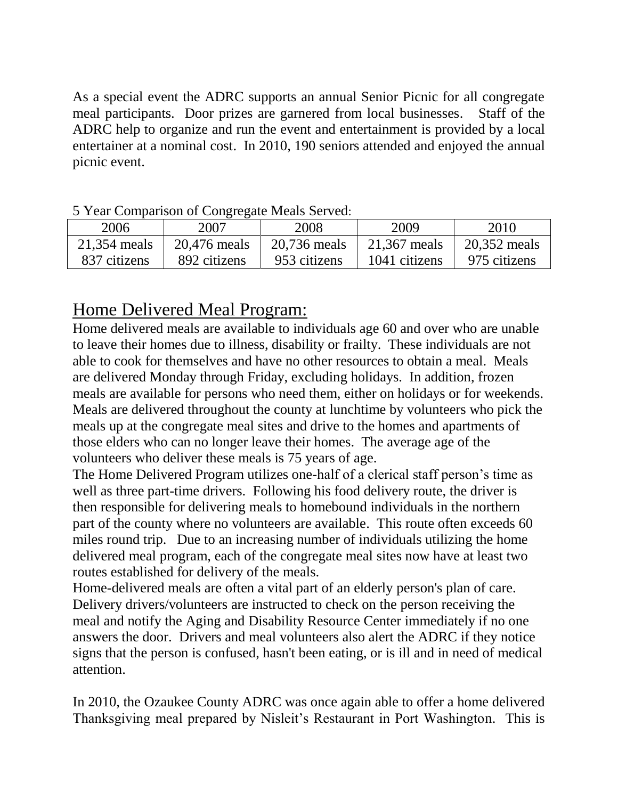As a special event the ADRC supports an annual Senior Picnic for all congregate meal participants. Door prizes are garnered from local businesses. Staff of the ADRC help to organize and run the event and entertainment is provided by a local entertainer at a nominal cost. In 2010, 190 seniors attended and enjoyed the annual picnic event.

| <u>the comparison of Congregate Meals Berved.</u> |              |              |               |              |  |
|---------------------------------------------------|--------------|--------------|---------------|--------------|--|
| 2006                                              | 2007         | 2008         | 2009          | 2010         |  |
| 21,354 meals                                      | 20,476 meals | 20,736 meals | 21,367 meals  | 20,352 meals |  |
| 837 citizens                                      | 892 citizens | 953 citizens | 1041 citizens | 975 citizens |  |

#### 5 Year Comparison of Congregate Meals Served:

# Home Delivered Meal Program:

Home delivered meals are available to individuals age 60 and over who are unable to leave their homes due to illness, disability or frailty. These individuals are not able to cook for themselves and have no other resources to obtain a meal. Meals are delivered Monday through Friday, excluding holidays. In addition, frozen meals are available for persons who need them, either on holidays or for weekends. Meals are delivered throughout the county at lunchtime by volunteers who pick the meals up at the congregate meal sites and drive to the homes and apartments of those elders who can no longer leave their homes. The average age of the volunteers who deliver these meals is 75 years of age.

The Home Delivered Program utilizes one-half of a clerical staff person's time as well as three part-time drivers. Following his food delivery route, the driver is then responsible for delivering meals to homebound individuals in the northern part of the county where no volunteers are available. This route often exceeds 60 miles round trip. Due to an increasing number of individuals utilizing the home delivered meal program, each of the congregate meal sites now have at least two routes established for delivery of the meals.

Home-delivered meals are often a vital part of an elderly person's plan of care. Delivery drivers/volunteers are instructed to check on the person receiving the meal and notify the Aging and Disability Resource Center immediately if no one answers the door. Drivers and meal volunteers also alert the ADRC if they notice signs that the person is confused, hasn't been eating, or is ill and in need of medical attention.

In 2010, the Ozaukee County ADRC was once again able to offer a home delivered Thanksgiving meal prepared by Nisleit's Restaurant in Port Washington. This is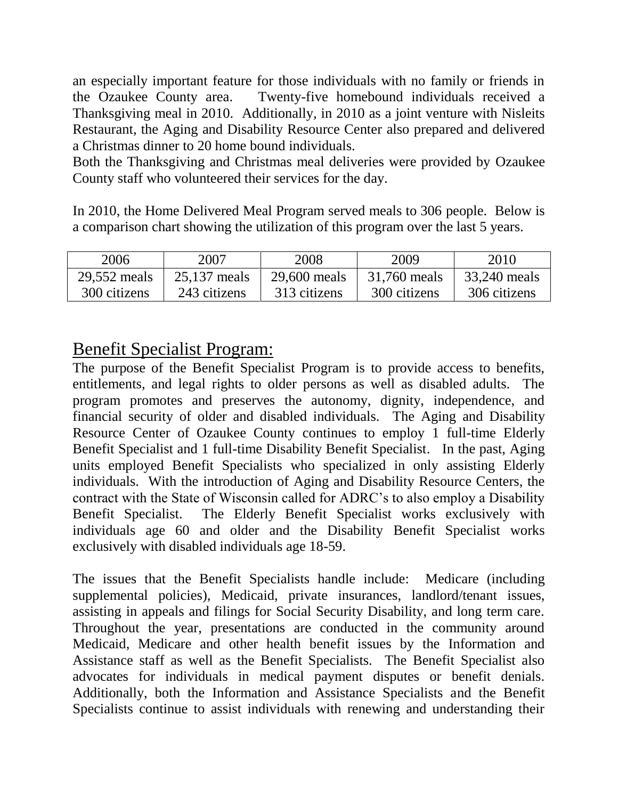an especially important feature for those individuals with no family or friends in the Ozaukee County area. Twenty-five homebound individuals received a Thanksgiving meal in 2010. Additionally, in 2010 as a joint venture with Nisleits Restaurant, the Aging and Disability Resource Center also prepared and delivered a Christmas dinner to 20 home bound individuals.

Both the Thanksgiving and Christmas meal deliveries were provided by Ozaukee County staff who volunteered their services for the day.

In 2010, the Home Delivered Meal Program served meals to 306 people. Below is a comparison chart showing the utilization of this program over the last 5 years.

| 2006         | 2007         | 2008         | 2009         | 2010         |
|--------------|--------------|--------------|--------------|--------------|
| 29,552 meals | 25,137 meals | 29,600 meals | 31,760 meals | 33,240 meals |
| 300 citizens | 243 citizens | 313 citizens | 300 citizens | 306 citizens |

## Benefit Specialist Program:

The purpose of the Benefit Specialist Program is to provide access to benefits, entitlements, and legal rights to older persons as well as disabled adults. The program promotes and preserves the autonomy, dignity, independence, and financial security of older and disabled individuals. The Aging and Disability Resource Center of Ozaukee County continues to employ 1 full-time Elderly Benefit Specialist and 1 full-time Disability Benefit Specialist. In the past, Aging units employed Benefit Specialists who specialized in only assisting Elderly individuals. With the introduction of Aging and Disability Resource Centers, the contract with the State of Wisconsin called for ADRC's to also employ a Disability Benefit Specialist. The Elderly Benefit Specialist works exclusively with individuals age 60 and older and the Disability Benefit Specialist works exclusively with disabled individuals age 18-59.

The issues that the Benefit Specialists handle include: Medicare (including supplemental policies), Medicaid, private insurances, landlord/tenant issues, assisting in appeals and filings for Social Security Disability, and long term care. Throughout the year, presentations are conducted in the community around Medicaid, Medicare and other health benefit issues by the Information and Assistance staff as well as the Benefit Specialists. The Benefit Specialist also advocates for individuals in medical payment disputes or benefit denials. Additionally, both the Information and Assistance Specialists and the Benefit Specialists continue to assist individuals with renewing and understanding their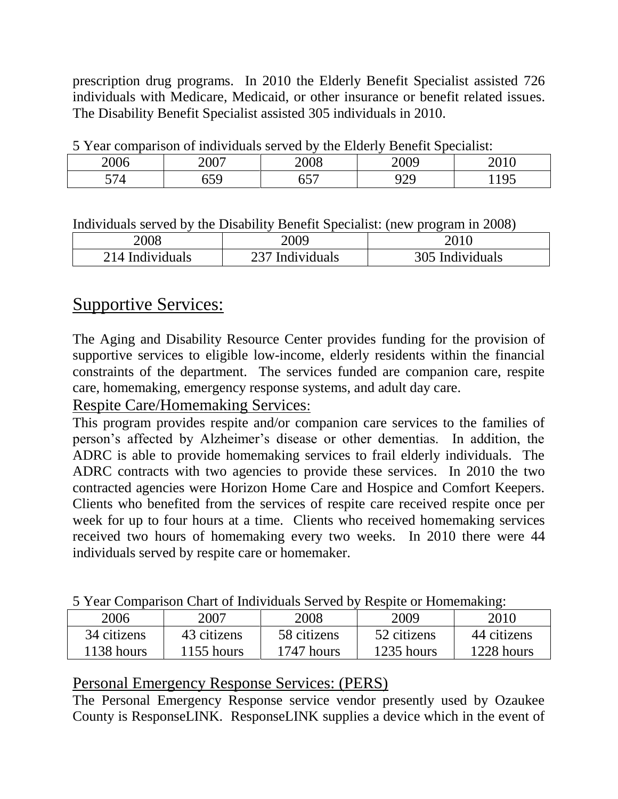prescription drug programs. In 2010 the Elderly Benefit Specialist assisted 726 individuals with Medicare, Medicaid, or other insurance or benefit related issues. The Disability Benefit Specialist assisted 305 individuals in 2010.

| $\sigma$ 1 cm comparison of marriagans served by<br>$\mathbf{u}$<br><b>BUILDING DECIMING</b> |              |                          |            |         |  |
|----------------------------------------------------------------------------------------------|--------------|--------------------------|------------|---------|--|
| ገበበሩ                                                                                         | $\sqrt{007}$ |                          |            |         |  |
| --                                                                                           |              | $\overline{\phantom{m}}$ | חרר<br>ر ب | . $10r$ |  |

5 Year comparison of individuals served by the Elderly Benefit Specialist:

Individuals served by the Disability Benefit Specialist: (new program in 2008)

| 2008            | 2009            |                 |
|-----------------|-----------------|-----------------|
| 214 Individuals | 237 Individuals | 305 Individuals |

# Supportive Services:

The Aging and Disability Resource Center provides funding for the provision of supportive services to eligible low-income, elderly residents within the financial constraints of the department. The services funded are companion care, respite care, homemaking, emergency response systems, and adult day care.

## Respite Care/Homemaking Services:

This program provides respite and/or companion care services to the families of person's affected by Alzheimer's disease or other dementias. In addition, the ADRC is able to provide homemaking services to frail elderly individuals. The ADRC contracts with two agencies to provide these services. In 2010 the two contracted agencies were Horizon Home Care and Hospice and Comfort Keepers. Clients who benefited from the services of respite care received respite once per week for up to four hours at a time. Clients who received homemaking services received two hours of homemaking every two weeks. In 2010 there were 44 individuals served by respite care or homemaker.

| o Teal Companyon chair of man nadail bel rea o |              |             | <i>RODDIG</i> OF HOMEOMARING. |             |
|------------------------------------------------|--------------|-------------|-------------------------------|-------------|
| 2006                                           | 2007         | 2008        | 2009                          | 2010        |
| 34 citizens                                    | 43 citizens  | 58 citizens | 52 citizens                   | 44 citizens |
| 1138 hours                                     | $1155$ hours | 1747 hours  | 1235 hours                    | 1228 hours  |

5 Year Comparison Chart of Individuals Served by Respite or Homemaking:

## Personal Emergency Response Services: (PERS)

The Personal Emergency Response service vendor presently used by Ozaukee County is ResponseLINK. ResponseLINK supplies a device which in the event of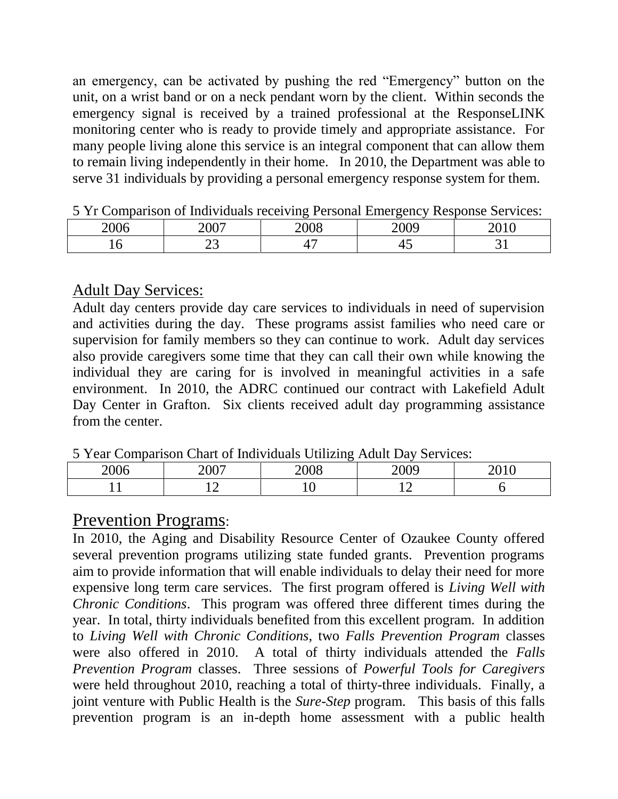an emergency, can be activated by pushing the red "Emergency" button on the unit, on a wrist band or on a neck pendant worn by the client. Within seconds the emergency signal is received by a trained professional at the ResponseLINK monitoring center who is ready to provide timely and appropriate assistance. For many people living alone this service is an integral component that can allow them to remain living independently in their home. In 2010, the Department was able to serve 31 individuals by providing a personal emergency response system for them.

|                           | -----------                    |                |             | .                                                           |
|---------------------------|--------------------------------|----------------|-------------|-------------------------------------------------------------|
| $\Omega$ $\Omega$<br>2006 | 2007<br>$\sim$                 | 2008           | ാ∩∩വ<br>- 0 | $\mathbf{A}$ $\mathbf{A}$ $\mathbf{A}$<br><b>T</b> O<br>- - |
| $\check{ }$               | ⌒⌒<br>$\overline{\phantom{m}}$ | $\overline{ }$ | ⋯           | <u>- - </u>                                                 |

5 Yr Comparison of Individuals receiving Personal Emergency Response Services:

### Adult Day Services:

Adult day centers provide day care services to individuals in need of supervision and activities during the day. These programs assist families who need care or supervision for family members so they can continue to work. Adult day services also provide caregivers some time that they can call their own while knowing the individual they are caring for is involved in meaningful activities in a safe environment. In 2010, the ADRC continued our contract with Lakefield Adult Day Center in Grafton. Six clients received adult day programming assistance from the center.

5 Year Comparison Chart of Individuals Utilizing Adult Day Services:

| --------<br>---<br>-----------                |                     |                      |                      |                           |
|-----------------------------------------------|---------------------|----------------------|----------------------|---------------------------|
| $\mathbf{a} \mathbf{a} \mathbf{b}$<br>. II II | $\Omega$            | $\sim$ $\sim$ $\sim$ | ാററ                  | $\sim$ $\sim$ $\sim$<br>◡ |
|                                               | $\sim$<br>. .<br>-- |                      | $\sim$<br><u>. .</u> |                           |

# Prevention Programs:

In 2010, the Aging and Disability Resource Center of Ozaukee County offered several prevention programs utilizing state funded grants. Prevention programs aim to provide information that will enable individuals to delay their need for more expensive long term care services. The first program offered is *Living Well with Chronic Conditions*. This program was offered three different times during the year. In total, thirty individuals benefited from this excellent program. In addition to *Living Well with Chronic Conditions*, two *Falls Prevention Program* classes were also offered in 2010. A total of thirty individuals attended the *Falls Prevention Program* classes. Three sessions of *Powerful Tools for Caregivers*  were held throughout 2010, reaching a total of thirty-three individuals. Finally, a joint venture with Public Health is the *Sure-Step* program. This basis of this falls prevention program is an in-depth home assessment with a public health